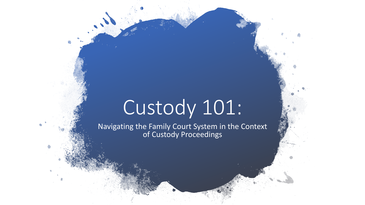# Custody 101:

Navigating the Family Court System in the Context of Custody Proceedings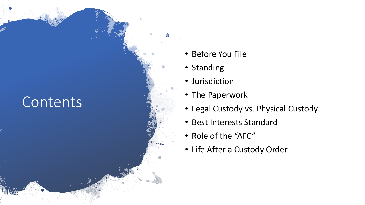#### Contents

- Before You File
- Standing
- Jurisdiction
- The Paperwork
- Legal Custody vs. Physical Custody
- Best Interests Standard
- Role of the "AFC"
- Life After a Custody Order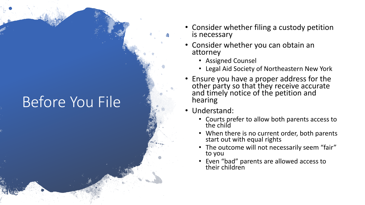#### Before You File

- Consider whether filing a custody petition is necessary
- Consider whether you can obtain an attorney
	- Assigned Counsel
	- Legal Aid Society of Northeastern New York
- Ensure you have a proper address for the other party so that they receive accurate and timely notice of the petition and hearing
- Understand:
	- Courts prefer to allow both parents access to the child
	- When there is no current order, both parents start out with equal rights
	- The outcome will not necessarily seem "fair" to you
	- Even "bad" parents are allowed access to their children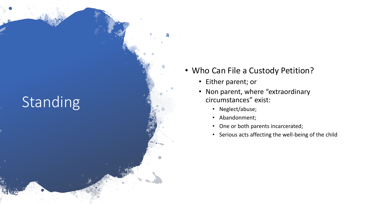# Standing

#### • Who Can File a Custody Petition?

- Either parent; or
- Non parent, where "extraordinary circumstances" exist:
	- Neglect/abuse;
	- Abandonment;
	- One or both parents incarcerated;
	- Serious acts affecting the well-being of the child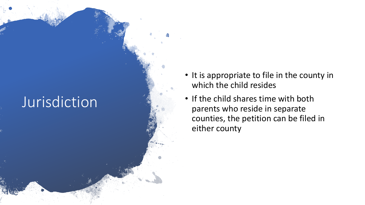#### Jurisdiction

- It is appropriate to file in the county in which the child resides
- If the child shares time with both parents who reside in separate counties, the petition can be filed in either county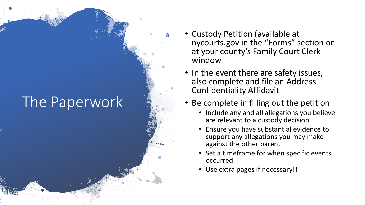# The Paperwork

- Custody Petition (available at nycourts.gov in the "Forms" section or at your county's Family Court Clerk window
- In the event there are safety issues, also complete and file an Address Confidentiality Affidavit
- Be complete in filling out the petition
	- Include any and all allegations you believe are relevant to a custody decision
	- Ensure you have substantial evidence to support any allegations you may make against the other parent
	- Set a timeframe for when specific events occurred
	- Use extra pages if necessary!!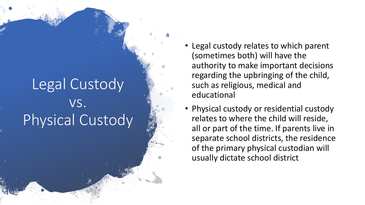## Legal Custody vs. Physical Custody

- Legal custody relates to which parent (sometimes both) will have the authority to make important decisions regarding the upbringing of the child, such as religious, medical and educational
- Physical custody or residential custody relates to where the child will reside, all or part of the time. If parents live in separate school districts, the residence of the primary physical custodian will usually dictate school district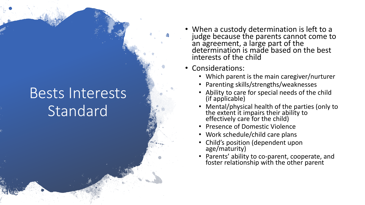#### Bests Interests Standard

- When a custody determination is left to a judge because the parents cannot come to an agreement, a large part of the determination is made based on the best interests of the child
- Considerations:
	- Which parent is the main caregiver/nurturer
	- Parenting skills/strengths/weaknesses
	- Ability to care for special needs of the child (if applicable)
	- Mental/physical health of the parties (only to the extent it impairs their ability to effectively care for the child)
	- Presence of Domestic Violence
	- Work schedule/child care plans
	- Child's position (dependent upon age/maturity)
	- Parents' ability to co -parent, cooperate, and foster relationship with the other parent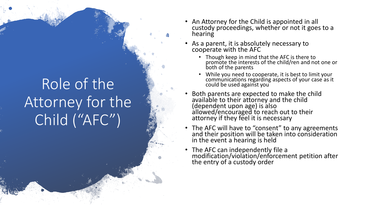# Role of the Attorney for the Child ("AFC")

- An Attorney for the Child is appointed in all custody proceedings, whether or not it goes to a hearing
- As a parent, it is absolutely necessary to cooperate with the AFC
	- Though keep in mind that the AFC is there to promote the interests of the child/ren and not one or both of the parents
	- While you need to cooperate, it is best to limit your communications regarding aspects of your case as it could be used against you
- Both parents are expected to make the child available to their attorney and the child (dependent upon age) is also allowed/encouraged to reach out to their attorney if they feel it is necessary
- The AFC will have to "consent" to any agreements and their position will be taken into consideration in the event a hearing is held
- The AFC can independently file a modification/violation/enforcement petition after the entry of a custody order